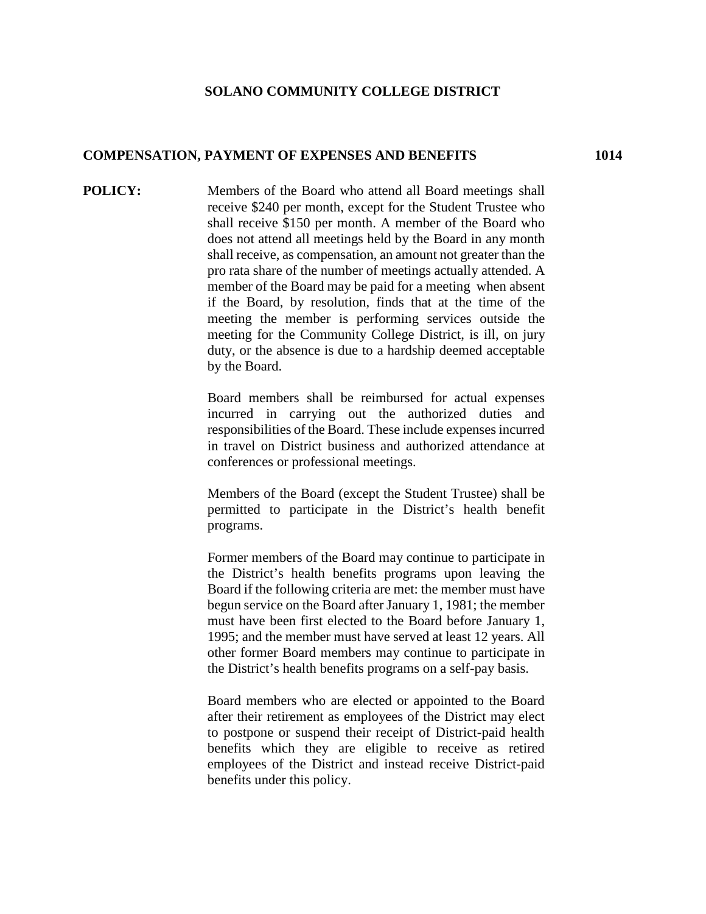## **SOLANO COMMUNITY COLLEGE DISTRICT**

## **COMPENSATION, PAYMENT OF EXPENSES AND BENEFITS 1014**

**POLICY:** Members of the Board who attend all Board meetings shall receive \$240 per month, except for the Student Trustee who shall receive \$150 per month. A member of the Board who does not attend all meetings held by the Board in any month shall receive, as compensation, an amount not greater than the pro rata share of the number of meetings actually attended. A member of the Board may be paid for a meeting when absent if the Board, by resolution, finds that at the time of the meeting the member is performing services outside the meeting for the Community College District, is ill, on jury duty, or the absence is due to a hardship deemed acceptable by the Board.

> Board members shall be reimbursed for actual expenses incurred in carrying out the authorized duties and responsibilities of the Board. These include expenses incurred in travel on District business and authorized attendance at conferences or professional meetings.

> Members of the Board (except the Student Trustee) shall be permitted to participate in the District's health benefit programs.

> Former members of the Board may continue to participate in the District's health benefits programs upon leaving the Board if the following criteria are met: the member must have begun service on the Board after January 1, 1981; the member must have been first elected to the Board before January 1, 1995; and the member must have served at least 12 years. All other former Board members may continue to participate in the District's health benefits programs on a self-pay basis.

> Board members who are elected or appointed to the Board after their retirement as employees of the District may elect to postpone or suspend their receipt of District-paid health benefits which they are eligible to receive as retired employees of the District and instead receive District-paid benefits under this policy.